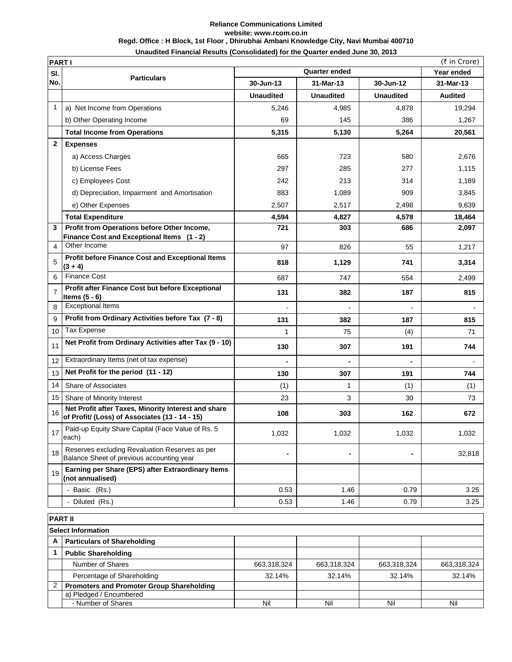## **Reliance Communications Limited website: www.rcom.co.in Regd. Office : H Block, 1st Floor , Dhirubhai Ambani Knowledge City, Navi Mumbai 400710 Unaudited Financial Results (Consolidated) for the Quarter ended June 30, 2013**

|                | (₹ in Crore)<br><b>PARTI</b>                                                                          |                      |                  |                          |                |  |  |
|----------------|-------------------------------------------------------------------------------------------------------|----------------------|------------------|--------------------------|----------------|--|--|
| SI.            | <b>Particulars</b>                                                                                    | <b>Quarter ended</b> |                  |                          | Year ended     |  |  |
| No.            |                                                                                                       | 30-Jun-13            | 31-Mar-13        | 30-Jun-12                | 31-Mar-13      |  |  |
|                |                                                                                                       | <b>Unaudited</b>     | <b>Unaudited</b> | <b>Unaudited</b>         | <b>Audited</b> |  |  |
| 1              | a) Net Income from Operations                                                                         | 5,246                | 4,985            | 4,878                    | 19,294         |  |  |
|                | b) Other Operating Income                                                                             | 69                   | 145              | 386                      | 1,267          |  |  |
|                | <b>Total Income from Operations</b>                                                                   | 5,315                | 5,130            | 5,264                    | 20,561         |  |  |
| $\mathbf{2}$   | <b>Expenses</b>                                                                                       |                      |                  |                          |                |  |  |
|                | a) Access Charges                                                                                     | 665                  | 723              | 580                      | 2,676          |  |  |
|                | b) License Fees                                                                                       | 297                  | 285              | 277                      | 1,115          |  |  |
|                | c) Employees Cost                                                                                     | 242                  | 213              | 314                      | 1,189          |  |  |
|                | d) Depreciation, Impairment and Amortisation                                                          | 883                  | 1,089            | 909                      | 3,845          |  |  |
|                | e) Other Expenses                                                                                     | 2,507                | 2,517            | 2,498                    | 9,639          |  |  |
|                | <b>Total Expenditure</b>                                                                              | 4,594                | 4,827            | 4,578                    | 18,464         |  |  |
| 3              | Profit from Operations before Other Income,                                                           | 721                  | 303              | 686                      | 2,097          |  |  |
|                | Finance Cost and Exceptional Items (1 - 2)                                                            |                      |                  |                          |                |  |  |
| 4              | Other Income                                                                                          | 97                   | 826              | 55                       | 1,217          |  |  |
| 5              | <b>Profit before Finance Cost and Exceptional Items</b><br>$(3 + 4)$                                  | 818                  | 1,129            | 741                      | 3,314          |  |  |
| 6              | <b>Finance Cost</b>                                                                                   | 687                  | 747              | 554                      | 2,499          |  |  |
| $\overline{7}$ | Profit after Finance Cost but before Exceptional<br>Items $(5 - 6)$                                   | 131                  | 382              | 187                      | 815            |  |  |
| 8              | <b>Exceptional Items</b>                                                                              | $\overline{a}$       |                  | $\overline{\phantom{0}}$ |                |  |  |
| 9              | Profit from Ordinary Activities before Tax (7 - 8)                                                    | 131                  | 382              | 187                      | 815            |  |  |
| 10             | Tax Expense                                                                                           | 1                    | 75               | (4)                      | 71             |  |  |
| 11             | Net Profit from Ordinary Activities after Tax (9 - 10)                                                | 130                  | 307              | 191                      | 744            |  |  |
| 12             | Extraordinary Items (net of tax expense)                                                              |                      |                  |                          |                |  |  |
| 13             | Net Profit for the period (11 - 12)                                                                   | 130                  | 307              | 191                      | 744            |  |  |
| 14             | Share of Associates                                                                                   | (1)                  | 1                | (1)                      | (1)            |  |  |
| 15             | Share of Minority Interest                                                                            | 23                   | 3                | 30                       | 73             |  |  |
| 16             | Net Profit after Taxes, Minority Interest and share<br>of Profit/ (Loss) of Associates (13 - 14 - 15) | 108                  | 303              | 162                      | 672            |  |  |
| 17             | Paid-up Equity Share Capital (Face Value of Rs. 5<br>each)                                            | 1,032                | 1,032            | 1,032                    | 1,032          |  |  |
| 18             | Reserves excluding Revaluation Reserves as per<br>Balance Sheet of previous accounting year           |                      |                  |                          | 32,818         |  |  |
| 19             | Earning per Share (EPS) after Extraordinary Items<br>(not annualised)                                 |                      |                  |                          |                |  |  |
|                | - Basic (Rs.)                                                                                         | 0.53                 | 1.46             | 0.79                     | 3.25           |  |  |
|                | - Diluted (Rs.)                                                                                       | 0.53                 | 1.46             | 0.79                     | 3.25           |  |  |
|                |                                                                                                       |                      |                  |                          |                |  |  |
|                | <b>PART II</b><br><b>Select Information</b>                                                           |                      |                  |                          |                |  |  |
| А              | <b>Particulars of Shareholding</b>                                                                    |                      |                  |                          |                |  |  |
| 1              | <b>Public Shareholding</b>                                                                            |                      |                  |                          |                |  |  |
|                | Number of Shares                                                                                      | 663,318,324          | 663,318,324      | 663,318,324              | 663,318,324    |  |  |
|                | Percentage of Shareholding                                                                            | 32.14%               | 32.14%           | 32.14%                   | 32.14%         |  |  |
| 2              | <b>Promoters and Promoter Group Shareholding</b>                                                      |                      |                  |                          |                |  |  |
|                | a) Pledged / Encumbered                                                                               |                      |                  |                          |                |  |  |
|                | - Number of Shares                                                                                    | Nil                  | Nil              | Nil                      | Nil            |  |  |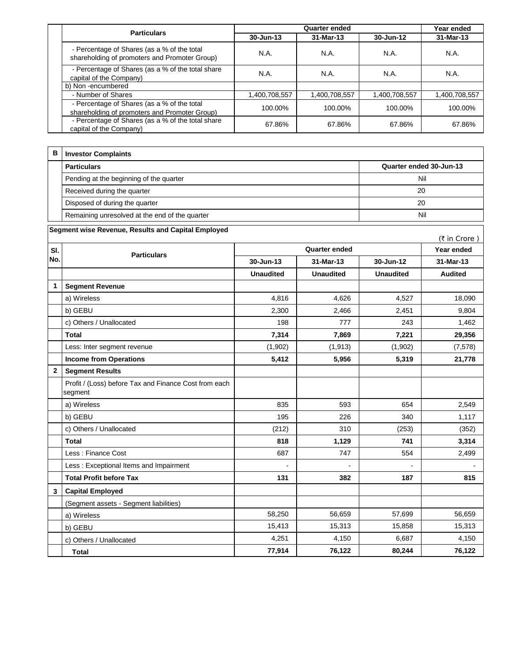|  | <b>Particulars</b>                                                                           | <b>Quarter ended</b> |               |               | Year ended    |
|--|----------------------------------------------------------------------------------------------|----------------------|---------------|---------------|---------------|
|  |                                                                                              | $30 - Jun-13$        | 31-Mar-13     | 30-Jun-12     | 31-Mar-13     |
|  | - Percentage of Shares (as a % of the total<br>shareholding of promoters and Promoter Group) | N.A.                 | N.A.          | N.A.          | N.A.          |
|  | - Percentage of Shares (as a % of the total share<br>capital of the Company)                 | <b>N.A.</b>          | N.A.          | N.A.          | N.A.          |
|  | b) Non-encumbered                                                                            |                      |               |               |               |
|  | - Number of Shares                                                                           | 1,400,708,557        | 1,400,708,557 | 1,400,708,557 | 1,400,708,557 |
|  | - Percentage of Shares (as a % of the total<br>shareholding of promoters and Promoter Group) | 100.00%              | 100.00%       | 100.00%       | 100.00%       |
|  | - Percentage of Shares (as a % of the total share<br>capital of the Company)                 | 67.86%               | 67.86%        | 67.86%        | 67.86%        |

| в | <b>Investor Complaints</b>                     |                         |
|---|------------------------------------------------|-------------------------|
|   | <b>Particulars</b>                             | Quarter ended 30-Jun-13 |
|   | Pending at the beginning of the quarter        | Nil                     |
|   | Received during the quarter                    | 20                      |
|   | Disposed of during the quarter                 | 20                      |
|   | Remaining unresolved at the end of the quarter | Nil                     |

| Segment wise Revenue, Results and Capital Employed |  |  |
|----------------------------------------------------|--|--|
|----------------------------------------------------|--|--|

|              |                                                                  |                      |                  |                  | (₹ in Crore)   |
|--------------|------------------------------------------------------------------|----------------------|------------------|------------------|----------------|
| SI.          | <b>Particulars</b>                                               | <b>Quarter ended</b> |                  |                  | Year ended     |
| No.          |                                                                  | 30-Jun-13            | 31-Mar-13        | 30-Jun-12        | 31-Mar-13      |
|              |                                                                  | <b>Unaudited</b>     | <b>Unaudited</b> | <b>Unaudited</b> | <b>Audited</b> |
| $\mathbf{1}$ | <b>Segment Revenue</b>                                           |                      |                  |                  |                |
|              | a) Wireless                                                      | 4,816                | 4,626            | 4,527            | 18,090         |
|              | b) GEBU                                                          | 2,300                | 2,466            | 2,451            | 9,804          |
|              | c) Others / Unallocated                                          | 198                  | 777              | 243              | 1,462          |
|              | <b>Total</b>                                                     | 7,314                | 7,869            | 7,221            | 29,356         |
|              | Less: Inter segment revenue                                      | (1,902)              | (1, 913)         | (1,902)          | (7, 578)       |
|              | <b>Income from Operations</b>                                    | 5,412                | 5,956            | 5,319            | 21,778         |
| $\mathbf{2}$ | <b>Segment Results</b>                                           |                      |                  |                  |                |
|              | Profit / (Loss) before Tax and Finance Cost from each<br>segment |                      |                  |                  |                |
|              | a) Wireless                                                      | 835                  | 593              | 654              | 2,549          |
|              | b) GEBU                                                          | 195                  | 226              | 340              | 1,117          |
|              | c) Others / Unallocated                                          | (212)                | 310              | (253)            | (352)          |
|              | <b>Total</b>                                                     | 818                  | 1,129            | 741              | 3,314          |
|              | Less: Finance Cost                                               | 687                  | 747              | 554              | 2,499          |
|              | Less: Exceptional Items and Impairment                           |                      |                  |                  |                |
|              | <b>Total Profit before Tax</b>                                   | 131                  | 382              | 187              | 815            |
| $\mathbf{3}$ | <b>Capital Employed</b>                                          |                      |                  |                  |                |
|              | (Segment assets - Segment liabilities)                           |                      |                  |                  |                |
|              | a) Wireless                                                      | 58,250               | 56,659           | 57,699           | 56,659         |
|              | b) GEBU                                                          | 15,413               | 15,313           | 15,858           | 15,313         |
|              | c) Others / Unallocated                                          | 4,251                | 4,150            | 6,687            | 4,150          |
|              | <b>Total</b>                                                     | 77,914               | 76,122           | 80,244           | 76,122         |